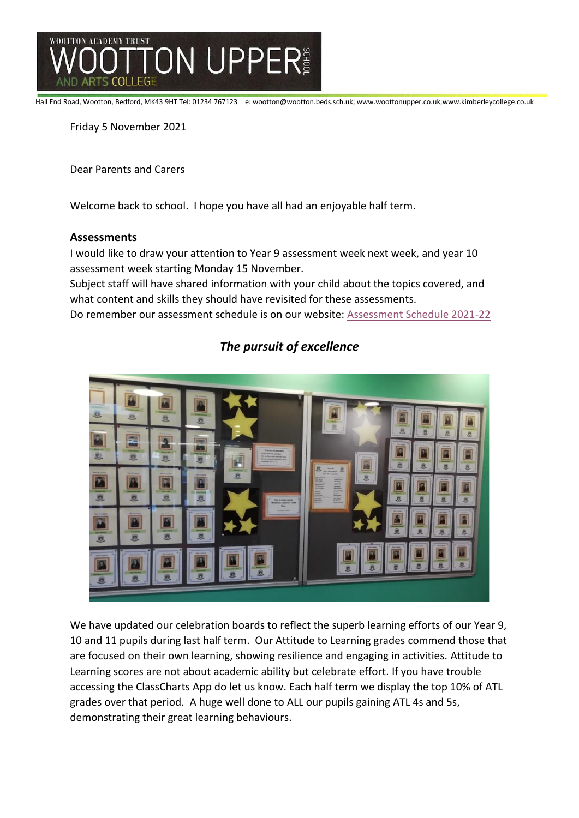

Hall End Road, Wootton, Bedford, MK43 9HT Tel: 01234 767123 e: wootton@wootton.beds.sch.uk; www.woottonupper.co.uk;www.kimberleycollege.co.uk

Friday 5 November 2021

Dear Parents and Carers

Welcome back to school. I hope you have all had an enjoyable half term.

#### **Assessments**

I would like to draw your attention to Year 9 assessment week next week, and year 10 assessment week starting Monday 15 November.

Subject staff will have shared information with your child about the topics covered, and what content and skills they should have revisited for these assessments.

Do remember our assessment schedule is on our website: [Assessment Schedule 2021-22](https://30a0a3ae-f989-45df-a221-a3b2b6b596a1.filesusr.com/ugd/675635_0a279e9b3c9f41aa825ba9d8756e4f5e.pdf)



# *The pursuit of excellence*

We have updated our celebration boards to reflect the superb learning efforts of our Year 9, 10 and 11 pupils during last half term. Our Attitude to Learning grades commend those that are focused on their own learning, showing resilience and engaging in activities. Attitude to Learning scores are not about academic ability but celebrate effort. If you have trouble accessing the ClassCharts App do let us know. Each half term we display the top 10% of ATL grades over that period. A huge well done to ALL our pupils gaining ATL 4s and 5s, demonstrating their great learning behaviours.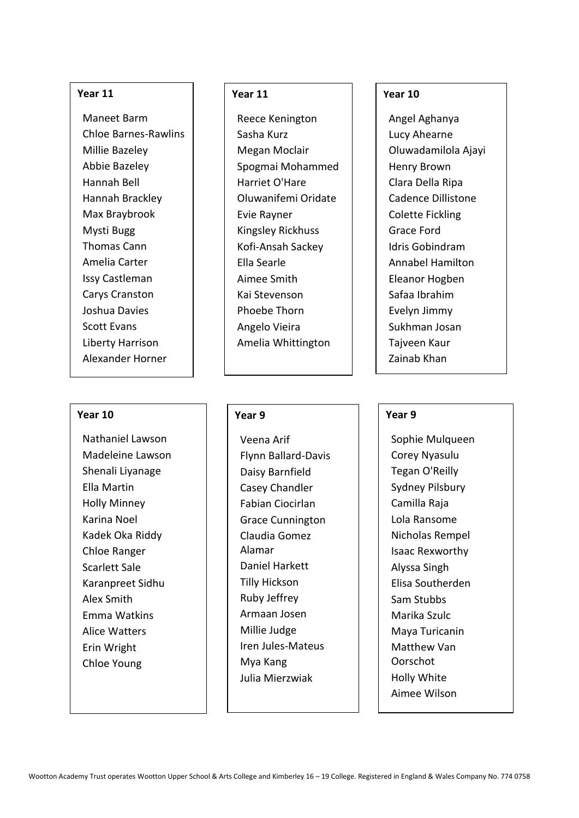#### **Year 11**

Maneet Barm Chloe Barnes-Rawlins Millie Bazeley Abbie Bazeley Hannah Bell Hannah Brackley Max Braybrook Mysti Bugg Thomas Cann Amelia Carter Issy Castleman Carys Cranston Joshua Davies Scott Evans Liberty Harrison Alexander Horner

#### **Year 10**

Nathaniel Lawson Madeleine Lawson Shenali Liyanage Ella Martin Holly Minney Karina Noel Kadek Oka Riddy Chloe Ranger Scarlett Sale Karanpreet Sidhu Alex Smith Emma Watkins Alice Watters Erin Wright Chloe Young

## **Year 11**

Reece Kenington Sasha Kurz Megan Moclair Spogmai Mohammed Harriet O'Hare Oluwanifemi Oridate Evie Rayner Kingsley Rickhuss Kofi-Ansah Sackey Ella Searle Aimee Smith Kai Stevenson Phoebe Thorn Angelo Vieira Amelia Whittington

#### **Year 9**

Veena Arif Flynn Ballard-Davis Daisy Barnfield Casey Chandler Fabian Ciocirlan Grace Cunnington Claudia Gomez Alamar Daniel Harkett Tilly Hickson Ruby Jeffrey Armaan Josen Millie Judge Iren Jules-Mateus Mya Kang Julia Mierzwiak

### **Year 10**

Angel Aghanya Lucy Ahearne Oluwadamilola Ajayi Henry Brown Clara Della Ripa Cadence Dillistone Colette Fickling Grace Ford Idris Gobindram Annabel Hamilton Eleanor Hogben Safaa Ibrahim Evelyn Jimmy Sukhman Josan Tajveen Kaur Zainab Khan

#### **Year 9**

Sophie Mulqueen Corey Nyasulu Tegan O'Reilly Sydney Pilsbury Camilla Raja Lola Ransome Nicholas Rempel Isaac Rexworthy Alyssa Singh Elisa Southerden Sam Stubbs Marika Szulc Maya Turicanin Matthew Van Oorschot Holly White Aimee Wilson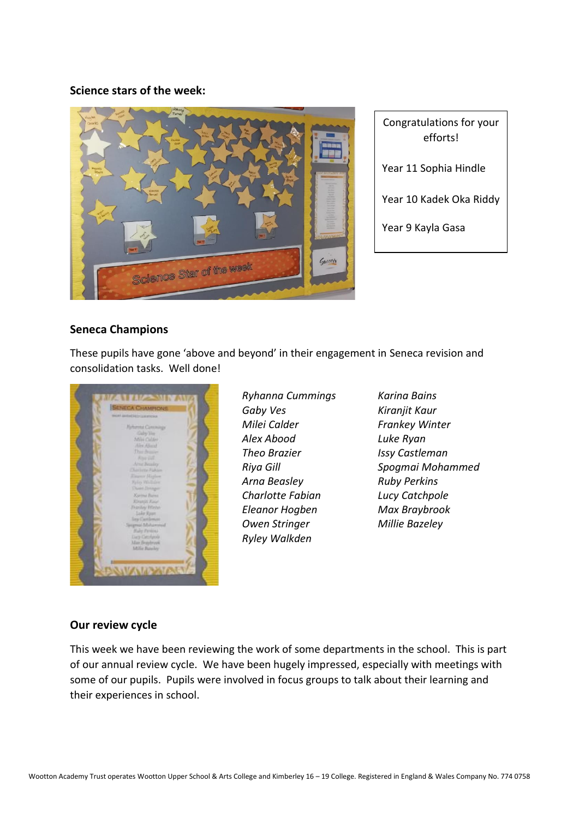### **Science stars of the week:**



Congratulations for your efforts! Year 11 Sophia Hindle Year 10 Kadek Oka Riddy

Year 9 Kayla Gasa

# **Seneca Champions**

These pupils have gone 'above and beyond' in their engagement in Seneca revision and consolidation tasks. Well done!



*Ryhanna Cummings Gaby Ves Milei Calder Alex Abood Theo Brazier Riya Gill Arna Beasley Charlotte Fabian Eleanor Hogben Owen Stringer Ryley Walkden*

*Karina Bains Kiranjit Kaur Frankey Winter Luke Ryan Issy Castleman Spogmai Mohammed Ruby Perkins Lucy Catchpole Max Braybrook Millie Bazeley*

### **Our review cycle**

This week we have been reviewing the work of some departments in the school. This is part of our annual review cycle. We have been hugely impressed, especially with meetings with some of our pupils. Pupils were involved in focus groups to talk about their learning and their experiences in school.